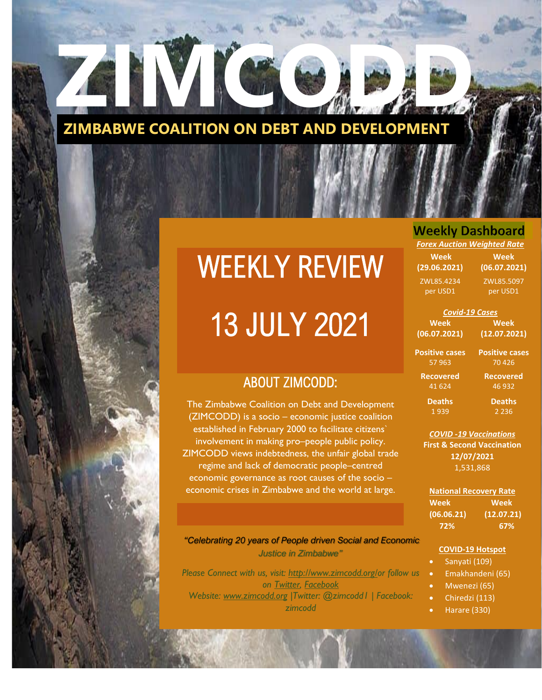

## WEEKLY REVIEW

# 13 JULY 2021

### WEEKLY ECONOMIC REVIEW ABOUT ZIMCODD:

The Zimbabwe Coalition on Debt and Development<br>(ZIMCODD) is a socio – economic iustice coalition established in February 2000 to facilitate citizens` involvement in making pro–people public policy.<br>4CODD views indebtedness, the unfair global tra (ZIMCODD) is a socio – economic justice coalition ZIMCODD views indebtedness, the unfair global trade regime and lack of democratic people–centred economic governance as root causes of the socio – economic crises in Zimbabwe and the world at large.

*"Celebrating 20 years of People driven Social and Economic Justice in Zimbabwe"* |<br>|0|<br>|-

*Please Connect with us, visit: [http://www.zimcodd.org/o](http://www.zimcodd.org/)r follow us on [Twitter,](https://twitter.com/ZIMCODD1) [Facebook](https://www.facebook.com/zimcodd.zimcodd) Website: [www.zimcodd.org](http://www.zimcodd.org/) |Twitter: @zimcodd1 | Facebook: zimcodd*

### **Weekly Dashboard**

*Forex Auction Weighted Rate*

**Week (29.06.2021) Week (06.07.2021)** ZWL85.4234 per USD1 ZWL85.5097 per USD1

| <b>Covid-19 Cases</b>      |                                |  |  |
|----------------------------|--------------------------------|--|--|
| <b>Week</b>                | Week                           |  |  |
| 06.07.2021)                | (12.07.2021)                   |  |  |
| ositive cases<br>57 963    | <b>Positive cases</b><br>70426 |  |  |
| <b>Recovered</b><br>41 624 | <b>Recovered</b><br>46 932     |  |  |
| <b>Deaths</b>              | <b>Deaths</b>                  |  |  |

2 236

**(06.07.2021)**

**Po** 

1 939

*COVID -19 Vaccinations* **First & Second Vaccination 12/07/2021** 1,531,868

**National Recovery Rate Week Week (06.06.21) (12.07.21) 72% 67%**

#### **COVID-19 Hotspot**

- Sanyati (109)
- Emakhandeni (65)
- Mwenezi (65)
- Chiredzi (113)
	- Harare (330)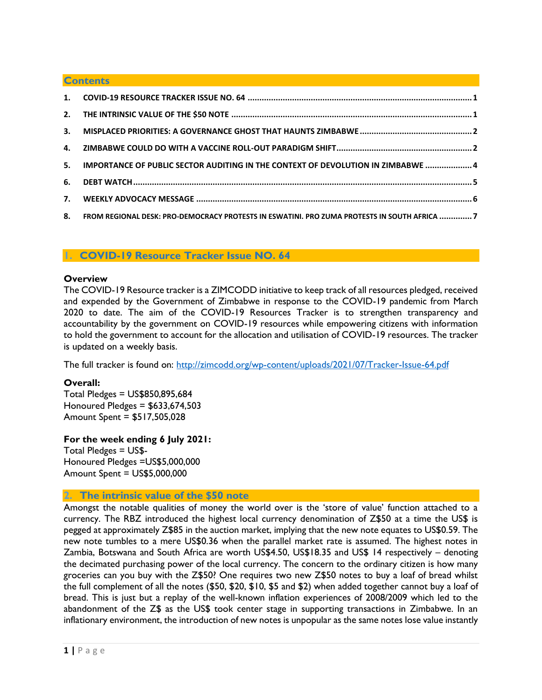#### **Contents**

| 5. IMPORTANCE OF PUBLIC SECTOR AUDITING IN THE CONTEXT OF DEVOLUTION IN ZIMBABWE  4            |  |
|------------------------------------------------------------------------------------------------|--|
|                                                                                                |  |
|                                                                                                |  |
| 8. FROM REGIONAL DESK: PRO-DEMOCRACY PROTESTS IN ESWATINI. PRO ZUMA PROTESTS IN SOUTH AFRICA 7 |  |

#### <span id="page-1-0"></span>**1. COVID-19 Resource Tracker Issue NO. 64**

#### **Overview**

The COVID-19 Resource tracker is a ZIMCODD initiative to keep track of all resources pledged, received and expended by the Government of Zimbabwe in response to the COVID-19 pandemic from March 2020 to date. The aim of the COVID-19 Resources Tracker is to strengthen transparency and accountability by the government on COVID-19 resources while empowering citizens with information to hold the government to account for the allocation and utilisation of COVID-19 resources. The tracker is updated on a weekly basis.

The full tracker is found on:<http://zimcodd.org/wp-content/uploads/2021/07/Tracker-Issue-64.pdf>

#### **Overall:**

Total Pledges = US\$850,895,684 Honoured Pledges = \$633,674,503 Amount Spent = \$517,505,028

#### **For the week ending 6 July 2021:**

Total Pledges = US\$- Honoured Pledges =US\$5,000,000 Amount Spent = US\$5,000,000

#### <span id="page-1-1"></span>**2. The intrinsic value of the \$50 note**

Amongst the notable qualities of money the world over is the 'store of value' function attached to a currency. The RBZ introduced the highest local currency denomination of Z\$50 at a time the US\$ is pegged at approximately Z\$85 in the auction market, implying that the new note equates to US\$0.59. The new note tumbles to a mere US\$0.36 when the parallel market rate is assumed. The highest notes in Zambia, Botswana and South Africa are worth US\$4.50, US\$18.35 and US\$ 14 respectively – denoting the decimated purchasing power of the local currency. The concern to the ordinary citizen is how many groceries can you buy with the Z\$50? One requires two new Z\$50 notes to buy a loaf of bread whilst the full complement of all the notes (\$50, \$20, \$10, \$5 and \$2) when added together cannot buy a loaf of bread. This is just but a replay of the well-known inflation experiences of 2008/2009 which led to the abandonment of the Z\$ as the US\$ took center stage in supporting transactions in Zimbabwe. In an inflationary environment, the introduction of new notes is unpopular as the same notes lose value instantly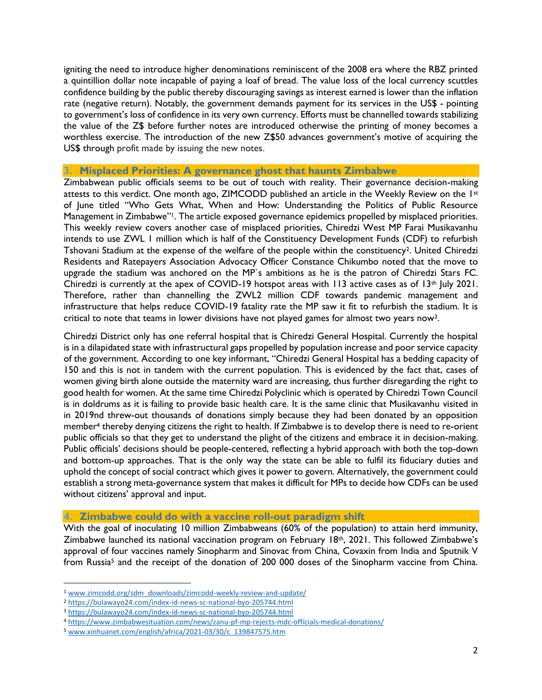igniting the need to introduce higher denominations reminiscent of the 2008 era where the RBZ printed a quintillion dollar note incapable of paying a loaf of bread. The value loss of the local currency scuttles confidence building by the public thereby discouraging savings as interest earned is lower than the inflation rate (negative return). Notably, the government demands payment for its services in the US\$ - pointing to government's loss of confidence in its very own currency. Efforts must be channelled towards stabilizing the value of the Z\$ before further notes are introduced otherwise the printing of money becomes a worthless exercise. The introduction of the new Z\$50 advances government's motive of acquiring the US\$ through profit made by issuing the new notes.

#### <span id="page-2-0"></span>**3. Misplaced Priorities: A governance ghost that haunts Zimbabwe**

Zimbabwean public officials seems to be out of touch with reality. Their governance decision-making attests to this verdict. One month ago, ZIMCODD published an article in the Weekly Review on the 1st of June titled "Who Gets What, When and How: Understanding the Politics of Public Resource Management in Zimbabwe"<sup>1</sup>. The article exposed governance epidemics propelled by misplaced priorities. This weekly review covers another case of misplaced priorities, Chiredzi West MP Farai Musikavanhu intends to use ZWL 1 million which is half of the Constituency Development Funds (CDF) to refurbish Tshovani Stadium at the expense of the welfare of the people within the constituency<sup>2</sup>. United Chiredzi Residents and Ratepayers Association Advocacy Officer Constance Chikumbo noted that the move to upgrade the stadium was anchored on the MP`s ambitions as he is the patron of Chiredzi Stars FC. Chiredzi is currently at the apex of COVID-19 hotspot areas with 113 active cases as of  $13<sup>th</sup>$  July 2021. Therefore, rather than channelling the ZWL2 million CDF towards pandemic management and infrastructure that helps reduce COVID-19 fatality rate the MP saw it fit to refurbish the stadium. It is critical to note that teams in lower divisions have not played games for almost two years now3.

Chiredzi District only has one referral hospital that is Chiredzi General Hospital. Currently the hospital is in a dilapidated state with infrastructural gaps propelled by population increase and poor service capacity of the government. According to one key informant, "Chiredzi General Hospital has a bedding capacity of 150 and this is not in tandem with the current population. This is evidenced by the fact that, cases of women giving birth alone outside the maternity ward are increasing, thus further disregarding the right to good health for women. At the same time Chiredzi Polyclinic which is operated by Chiredzi Town Council is in doldrums as it is failing to provide basic health care. It is the same clinic that Musikavanhu visited in in 2019nd threw-out thousands of donations simply because they had been donated by an opposition member<sup>4</sup> thereby denying citizens the right to health. If Zimbabwe is to develop there is need to re-orient public officials so that they get to understand the plight of the citizens and embrace it in decision-making. Public officials' decisions should be people-centered, reflecting a hybrid approach with both the top-down and bottom-up approaches. That is the only way the state can be able to fulfil its fiduciary duties and uphold the concept of social contract which gives it power to govern. Alternatively, the government could establish a strong meta-governance system that makes it difficult for MPs to decide how CDFs can be used without citizens' approval and input.

#### <span id="page-2-1"></span>**4. Zimbabwe could do with a vaccine roll-out paradigm shift**

With the goal of inoculating 10 million Zimbabweans (60% of the population) to attain herd immunity, Zimbabwe launched its national vaccination program on February 18th, 2021. This followed Zimbabwe's approval of four vaccines namely Sinopharm and Sinovac from China, Covaxin from India and Sputnik V from Russia<sup>5</sup> and the receipt of the donation of 200 000 doses of the Sinopharm vaccine from China.

<sup>1</sup> [www.zimcodd.org/sdm\\_downloads/zimcodd-weekly-review-and-update/](http://www.zimcodd.org/sdm_downloads/zimcodd-weekly-review-and-update/)

<sup>2</sup> <https://bulawayo24.com/index-id-news-sc-national-byo-205744.html>

<sup>3</sup> <https://bulawayo24.com/index-id-news-sc-national-byo-205744.html>

<sup>4</sup> <https://www.zimbabwesituation.com/news/zanu-pf-mp-rejects-mdc-officials-medical-donations/>

<sup>5</sup> [www.xinhuanet.com/english/africa/2021-03/30/c\\_139847575.htm](http://www.xinhuanet.com/english/africa/2021-03/30/c_139847575.htm)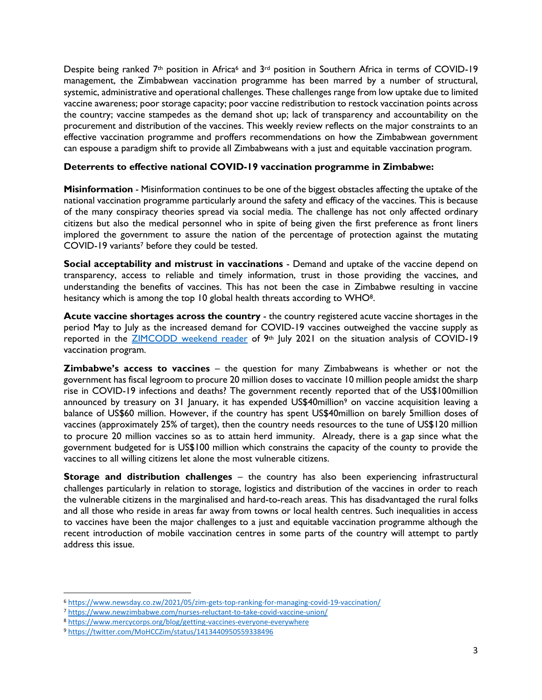Despite being ranked  $7<sup>th</sup>$  position in Africa<sup>6</sup> and  $3<sup>rd</sup>$  position in Southern Africa in terms of COVID-19 management, the Zimbabwean vaccination programme has been marred by a number of structural, systemic, administrative and operational challenges. These challenges range from low uptake due to limited vaccine awareness; poor storage capacity; poor vaccine redistribution to restock vaccination points across the country; vaccine stampedes as the demand shot up; lack of transparency and accountability on the procurement and distribution of the vaccines. This weekly review reflects on the major constraints to an effective vaccination programme and proffers recommendations on how the Zimbabwean government can espouse a paradigm shift to provide all Zimbabweans with a just and equitable vaccination program.

#### **Deterrents to effective national COVID-19 vaccination programme in Zimbabwe:**

**Misinformation** - Misinformation continues to be one of the biggest obstacles affecting the uptake of the national vaccination programme particularly around the safety and efficacy of the vaccines. This is because of the many conspiracy theories spread via social media. The challenge has not only affected ordinary citizens but also the medical personnel who in spite of being given the first preference as front liners implored the government to assure the nation of the percentage of protection against the mutating COVID-19 variants<sup>7</sup> before they could be tested.

**Social acceptability and mistrust in vaccinations** - Demand and uptake of the vaccine depend on transparency, access to reliable and timely information, trust in those providing the vaccines, and understanding the benefits of vaccines. This has not been the case in Zimbabwe resulting in vaccine hesitancy which is among the top 10 global health threats according to WHO<sup>8</sup>.

**Acute vaccine shortages across the country** - the country registered acute vaccine shortages in the period May to July as the increased demand for COVID-19 vaccines outweighed the vaccine supply as reported in the **ZIMCODD** weekend reader of 9<sup>th</sup> July 2021 on the situation analysis of COVID-19 vaccination program.

**Zimbabwe's access to vaccines** – the question for many Zimbabweans is whether or not the government has fiscal legroom to procure 20 million doses to vaccinate 10 million people amidst the sharp rise in COVID-19 infections and deaths? The government recently reported that of the US\$100million announced by treasury on 31 January, it has expended US\$40million<sup>9</sup> on vaccine acquisition leaving a balance of US\$60 million. However, if the country has spent US\$40million on barely 5million doses of vaccines (approximately 25% of target), then the country needs resources to the tune of US\$120 million to procure 20 million vaccines so as to attain herd immunity. Already, there is a gap since what the government budgeted for is US\$100 million which constrains the capacity of the county to provide the vaccines to all willing citizens let alone the most vulnerable citizens.

**Storage and distribution challenges** – the country has also been experiencing infrastructural challenges particularly in relation to storage, logistics and distribution of the vaccines in order to reach the vulnerable citizens in the marginalised and hard-to-reach areas. This has disadvantaged the rural folks and all those who reside in areas far away from towns or local health centres. Such inequalities in access to vaccines have been the major challenges to a just and equitable vaccination programme although the recent introduction of mobile vaccination centres in some parts of the country will attempt to partly address this issue.

<sup>6</sup> <https://www.newsday.co.zw/2021/05/zim-gets-top-ranking-for-managing-covid-19-vaccination/>

<sup>7</sup> <https://www.newzimbabwe.com/nurses-reluctant-to-take-covid-vaccine-union/>

<sup>8</sup> <https://www.mercycorps.org/blog/getting-vaccines-everyone-everywhere>

<sup>9</sup> <https://twitter.com/MoHCCZim/status/1413440950559338496>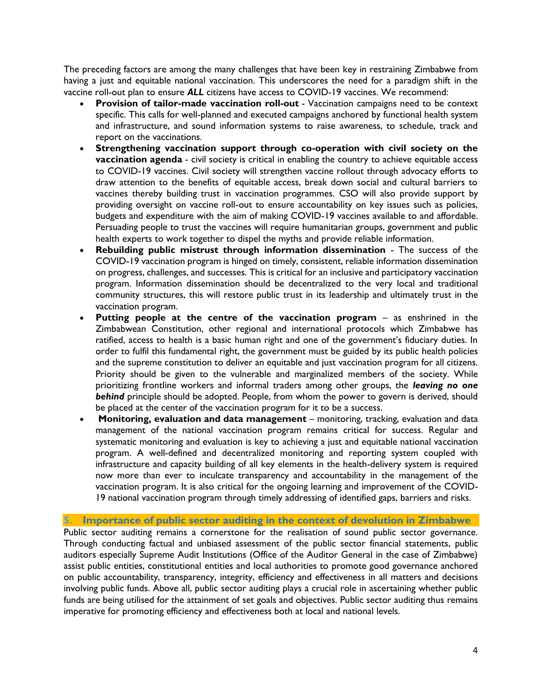The preceding factors are among the many challenges that have been key in restraining Zimbabwe from having a just and equitable national vaccination. This underscores the need for a paradigm shift in the vaccine roll-out plan to ensure *ALL* citizens have access to COVID-19 vaccines. We recommend:

- **Provision of tailor-made vaccination roll-out** Vaccination campaigns need to be context specific. This calls for well-planned and executed campaigns anchored by functional health system and infrastructure, and sound information systems to raise awareness, to schedule, track and report on the vaccinations.
- **Strengthening vaccination support through co-operation with civil society on the vaccination agenda** - civil society is critical in enabling the country to achieve equitable access to COVID-19 vaccines. Civil society will strengthen vaccine rollout through advocacy efforts to draw attention to the benefits of equitable access, break down social and cultural barriers to vaccines thereby building trust in vaccination programmes. CSO will also provide support by providing oversight on vaccine roll-out to ensure accountability on key issues such as policies, budgets and expenditure with the aim of making COVID-19 vaccines available to and affordable. Persuading people to trust the vaccines will require humanitarian groups, government and public health experts to work together to dispel the myths and provide reliable information.
- **Rebuilding public mistrust through information dissemination**  The success of the COVID-19 vaccination program is hinged on timely, consistent, reliable information dissemination on progress, challenges, and successes. This is critical for an inclusive and participatory vaccination program. Information dissemination should be decentralized to the very local and traditional community structures, this will restore public trust in its leadership and ultimately trust in the vaccination program.
- **Putting people at the centre of the vaccination program as enshrined in the** Zimbabwean Constitution, other regional and international protocols which Zimbabwe has ratified, access to health is a basic human right and one of the government's fiduciary duties. In order to fulfil this fundamental right, the government must be guided by its public health policies and the supreme constitution to deliver an equitable and just vaccination program for all citizens. Priority should be given to the vulnerable and marginalized members of the society. While prioritizing frontline workers and informal traders among other groups, the *leaving no one behind* principle should be adopted. People, from whom the power to govern is derived, should be placed at the center of the vaccination program for it to be a success.
- **Monitoring, evaluation and data management** monitoring, tracking, evaluation and data management of the national vaccination program remains critical for success. Regular and systematic monitoring and evaluation is key to achieving a just and equitable national vaccination program. A well-defined and decentralized monitoring and reporting system coupled with infrastructure and capacity building of all key elements in the health-delivery system is required now more than ever to inculcate transparency and accountability in the management of the vaccination program. It is also critical for the ongoing learning and improvement of the COVID-19 national vaccination program through timely addressing of identified gaps, barriers and risks.

#### <span id="page-4-0"></span>**5. Importance of public sector auditing in the context of devolution in Zimbabwe**

Public sector auditing remains a cornerstone for the realisation of sound public sector governance. Through conducting factual and unbiased assessment of the public sector financial statements, public auditors especially Supreme Audit Institutions (Office of the Auditor General in the case of Zimbabwe) assist public entities, constitutional entities and local authorities to promote good governance anchored on public accountability, transparency, integrity, efficiency and effectiveness in all matters and decisions involving public funds. Above all, public sector auditing plays a crucial role in ascertaining whether public funds are being utilised for the attainment of set goals and objectives. Public sector auditing thus remains imperative for promoting efficiency and effectiveness both at local and national levels.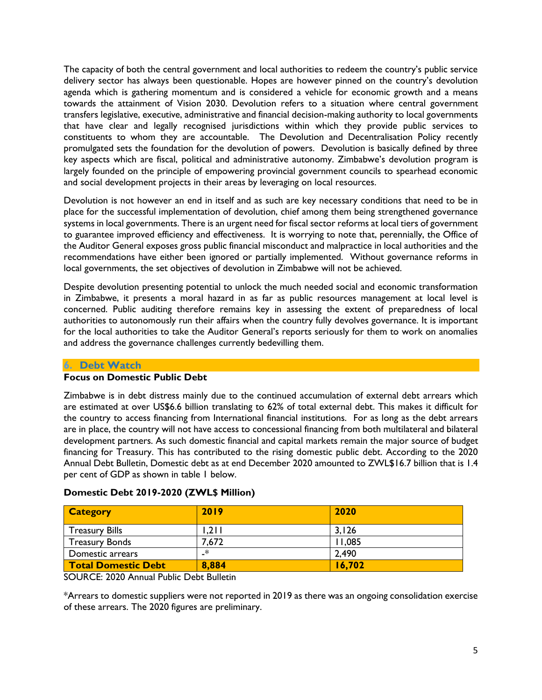The capacity of both the central government and local authorities to redeem the country's public service delivery sector has always been questionable. Hopes are however pinned on the country's devolution agenda which is gathering momentum and is considered a vehicle for economic growth and a means towards the attainment of Vision 2030. Devolution refers to a situation where central government transfers legislative, executive, administrative and financial decision-making authority to local governments that have clear and legally recognised jurisdictions within which they provide public services to constituents to whom they are accountable. The Devolution and Decentralisation Policy recently promulgated sets the foundation for the devolution of powers. Devolution is basically defined by three key aspects which are fiscal, political and administrative autonomy. Zimbabwe's devolution program is largely founded on the principle of empowering provincial government councils to spearhead economic and social development projects in their areas by leveraging on local resources.

Devolution is not however an end in itself and as such are key necessary conditions that need to be in place for the successful implementation of devolution, chief among them being strengthened governance systems in local governments. There is an urgent need for fiscal sector reforms at local tiers of government to guarantee improved efficiency and effectiveness. It is worrying to note that, perennially, the Office of the Auditor General exposes gross public financial misconduct and malpractice in local authorities and the recommendations have either been ignored or partially implemented. Without governance reforms in local governments, the set objectives of devolution in Zimbabwe will not be achieved.

Despite devolution presenting potential to unlock the much needed social and economic transformation in Zimbabwe, it presents a moral hazard in as far as public resources management at local level is concerned. Public auditing therefore remains key in assessing the extent of preparedness of local authorities to autonomously run their affairs when the country fully devolves governance. It is important for the local authorities to take the Auditor General's reports seriously for them to work on anomalies and address the governance challenges currently bedevilling them.

#### <span id="page-5-0"></span>**6. Debt Watch**

#### **Focus on Domestic Public Debt**

Zimbabwe is in debt distress mainly due to the continued accumulation of external debt arrears which are estimated at over US\$6.6 billion translating to 62% of total external debt. This makes it difficult for the country to access financing from International financial institutions. For as long as the debt arrears are in place, the country will not have access to concessional financing from both multilateral and bilateral development partners. As such domestic financial and capital markets remain the major source of budget financing for Treasury. This has contributed to the rising domestic public debt. According to the 2020 Annual Debt Bulletin, Domestic debt as at end December 2020 amounted to ZWL\$16.7 billion that is 1.4 per cent of GDP as shown in table 1 below.

| <b>Category</b>            | 2019  | 2020   |
|----------------------------|-------|--------|
| <b>Treasury Bills</b>      | 1,211 | 3,126  |
| <b>Treasury Bonds</b>      | 7,672 | 11,085 |
| Domestic arrears           | _*    | 2,490  |
| <b>Total Domestic Debt</b> | 8,884 | 16,702 |

#### **Domestic Debt 2019-2020 (ZWL\$ Million)**

SOURCE: 2020 Annual Public Debt Bulletin

\*Arrears to domestic suppliers were not reported in 2019 as there was an ongoing consolidation exercise of these arrears. The 2020 figures are preliminary.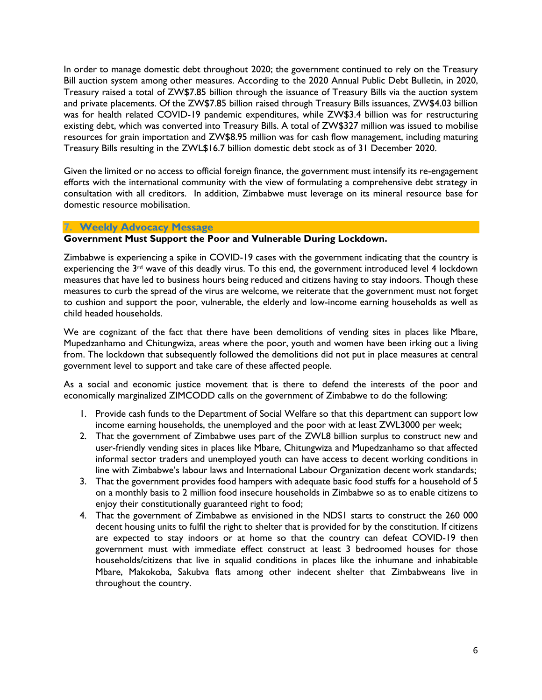In order to manage domestic debt throughout 2020; the government continued to rely on the Treasury Bill auction system among other measures. According to the 2020 Annual Public Debt Bulletin, in 2020, Treasury raised a total of ZW\$7.85 billion through the issuance of Treasury Bills via the auction system and private placements. Of the ZW\$7.85 billion raised through Treasury Bills issuances, ZW\$4.03 billion was for health related COVID-19 pandemic expenditures, while ZW\$3.4 billion was for restructuring existing debt, which was converted into Treasury Bills. A total of ZW\$327 million was issued to mobilise resources for grain importation and ZW\$8.95 million was for cash flow management, including maturing Treasury Bills resulting in the ZWL\$16.7 billion domestic debt stock as of 31 December 2020.

Given the limited or no access to official foreign finance, the government must intensify its re-engagement efforts with the international community with the view of formulating a comprehensive debt strategy in consultation with all creditors. In addition, Zimbabwe must leverage on its mineral resource base for domestic resource mobilisation.

#### <span id="page-6-0"></span>**7. Weekly Advocacy Message**

#### **Government Must Support the Poor and Vulnerable During Lockdown.**

Zimbabwe is experiencing a spike in COVID-19 cases with the government indicating that the country is experiencing the 3<sup>rd</sup> wave of this deadly virus. To this end, the government introduced level 4 lockdown measures that have led to business hours being reduced and citizens having to stay indoors. Though these measures to curb the spread of the virus are welcome, we reiterate that the government must not forget to cushion and support the poor, vulnerable, the elderly and low-income earning households as well as child headed households.

We are cognizant of the fact that there have been demolitions of vending sites in places like Mbare, Mupedzanhamo and Chitungwiza, areas where the poor, youth and women have been irking out a living from. The lockdown that subsequently followed the demolitions did not put in place measures at central government level to support and take care of these affected people.

As a social and economic justice movement that is there to defend the interests of the poor and economically marginalized ZIMCODD calls on the government of Zimbabwe to do the following:

- 1. Provide cash funds to the Department of Social Welfare so that this department can support low income earning households, the unemployed and the poor with at least ZWL3000 per week;
- 2. That the government of Zimbabwe uses part of the ZWL8 billion surplus to construct new and user-friendly vending sites in places like Mbare, Chitungwiza and Mupedzanhamo so that affected informal sector traders and unemployed youth can have access to decent working conditions in line with Zimbabwe's labour laws and International Labour Organization decent work standards;
- 3. That the government provides food hampers with adequate basic food stuffs for a household of 5 on a monthly basis to 2 million food insecure households in Zimbabwe so as to enable citizens to enjoy their constitutionally guaranteed right to food;
- 4. That the government of Zimbabwe as envisioned in the NDS1 starts to construct the 260 000 decent housing units to fulfil the right to shelter that is provided for by the constitution. If citizens are expected to stay indoors or at home so that the country can defeat COVID-19 then government must with immediate effect construct at least 3 bedroomed houses for those households/citizens that live in squalid conditions in places like the inhumane and inhabitable Mbare, Makokoba, Sakubva flats among other indecent shelter that Zimbabweans live in throughout the country.